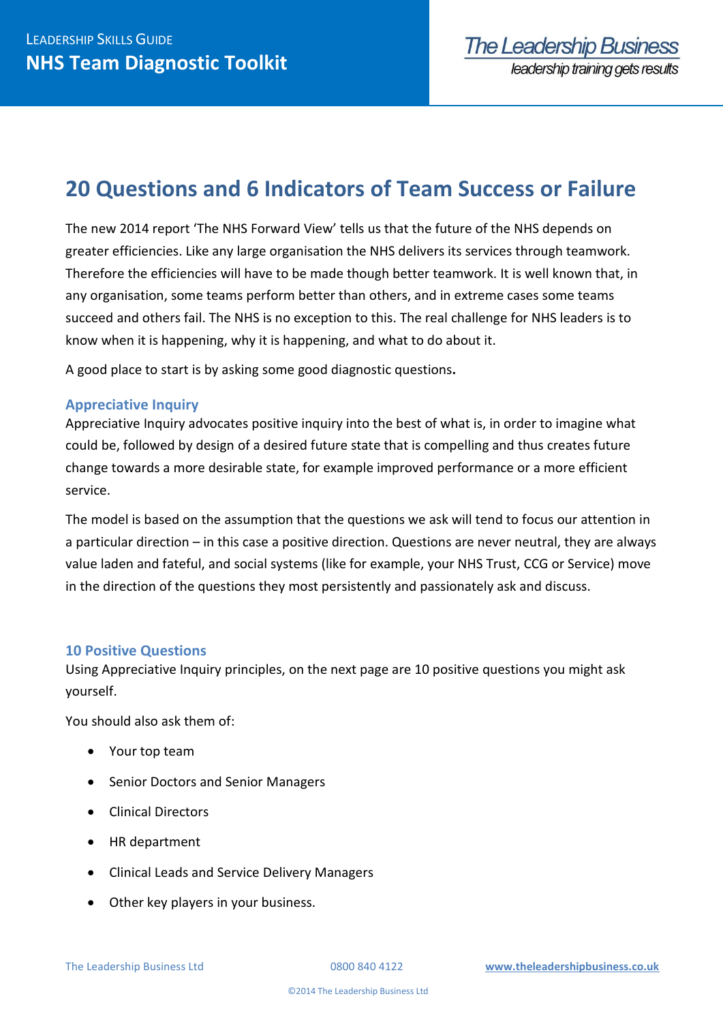# **20 Questions and 6 Indicators of Team Success or Failure**

The new 2014 report 'The NHS Forward View' tells us that the future of the NHS depends on greater efficiencies. Like any large organisation the NHS delivers its services through teamwork. Therefore the efficiencies will have to be made though better teamwork. It is well known that, in any organisation, some teams perform better than others, and in extreme cases some teams succeed and others fail. The NHS is no exception to this. The real challenge for NHS leaders is to know when it is happening, why it is happening, and what to do about it.

A good place to start is by asking some good diagnostic questions**.**

#### **Appreciative Inquiry**

Appreciative Inquiry advocates positive inquiry into the best of what is, in order to imagine what could be, followed by design of a desired future state that is compelling and thus creates future change towards a more desirable state, for example improved performance or a more efficient service.

The model is based on the assumption that the questions we ask will tend to focus our attention in a particular direction – in this case a positive direction. Questions are never neutral, they are always value laden and fateful, and social systems (like for example, your NHS Trust, CCG or Service) move in the direction of the questions they most persistently and passionately ask and discuss.

#### **10 Positive Questions**

Using Appreciative Inquiry principles, on the next page are 10 positive questions you might ask yourself.

You should also ask them of:

- Your top team
- Senior Doctors and Senior Managers
- **•** Clinical Directors
- HR department
- Clinical Leads and Service Delivery Managers
- Other key players in your business.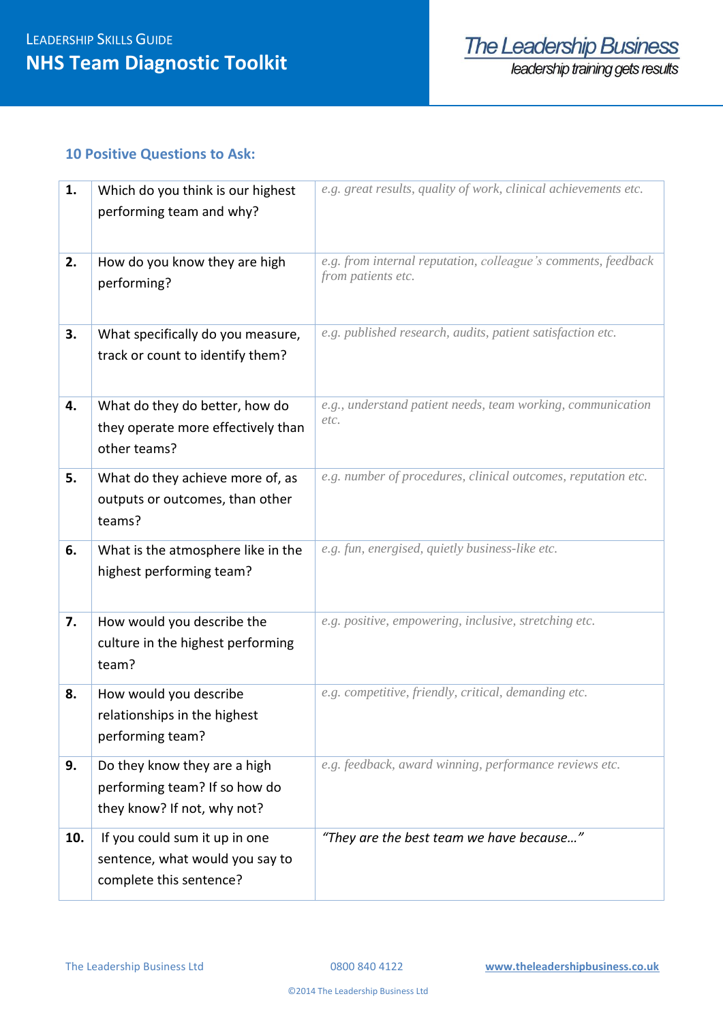#### **10 Positive Questions to Ask:**

| 1.  | Which do you think is our highest<br>performing team and why?                                | e.g. great results, quality of work, clinical achievements etc.                     |  |
|-----|----------------------------------------------------------------------------------------------|-------------------------------------------------------------------------------------|--|
| 2.  | How do you know they are high<br>performing?                                                 | e.g. from internal reputation, colleague's comments, feedback<br>from patients etc. |  |
| 3.  | What specifically do you measure,<br>track or count to identify them?                        | e.g. published research, audits, patient satisfaction etc.                          |  |
| 4.  | What do they do better, how do<br>they operate more effectively than<br>other teams?         | e.g., understand patient needs, team working, communication<br>etc.                 |  |
| 5.  | What do they achieve more of, as<br>outputs or outcomes, than other<br>teams?                | e.g. number of procedures, clinical outcomes, reputation etc.                       |  |
| 6.  | What is the atmosphere like in the<br>highest performing team?                               | e.g. fun, energised, quietly business-like etc.                                     |  |
| 7.  | How would you describe the<br>culture in the highest performing<br>team?                     | e.g. positive, empowering, inclusive, stretching etc.                               |  |
| 8.  | How would you describe<br>relationships in the highest<br>performing team?                   | e.g. competitive, friendly, critical, demanding etc.                                |  |
| 9.  | Do they know they are a high<br>performing team? If so how do<br>they know? If not, why not? | e.g. feedback, award winning, performance reviews etc.                              |  |
| 10. | If you could sum it up in one<br>sentence, what would you say to<br>complete this sentence?  | "They are the best team we have because"                                            |  |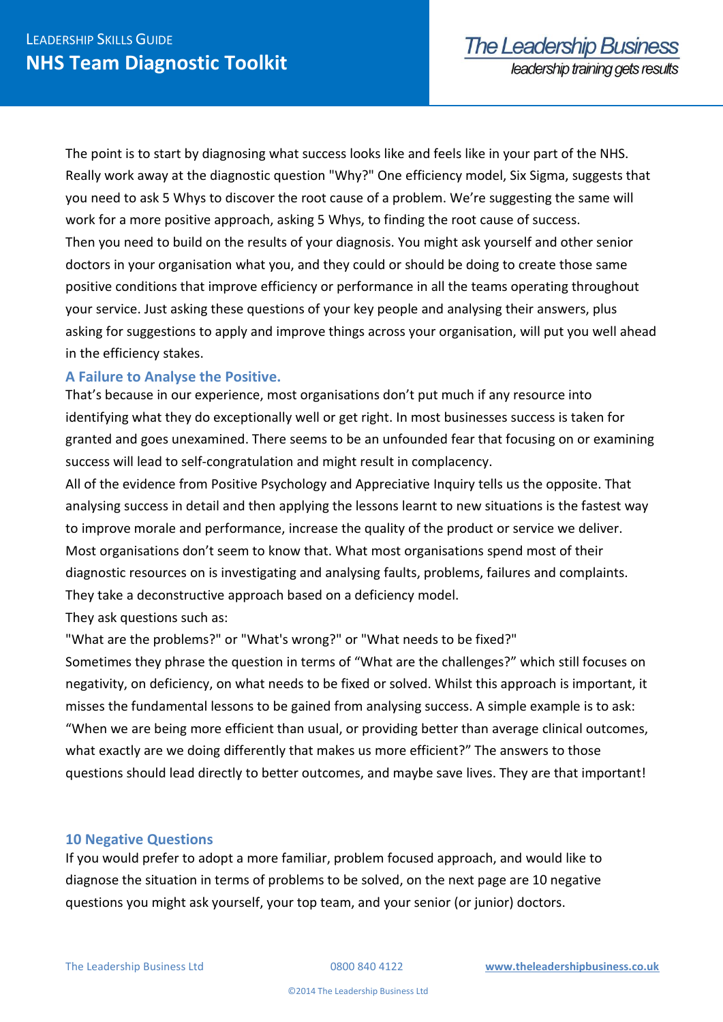The point is to start by diagnosing what success looks like and feels like in your part of the NHS. Really work away at the diagnostic question "Why?" One efficiency model, Six Sigma, suggests that you need to ask 5 Whys to discover the root cause of a problem. We're suggesting the same will work for a more positive approach, asking 5 Whys, to finding the root cause of success. Then you need to build on the results of your diagnosis. You might ask yourself and other senior doctors in your organisation what you, and they could or should be doing to create those same positive conditions that improve efficiency or performance in all the teams operating throughout your service. Just asking these questions of your key people and analysing their answers, plus asking for suggestions to apply and improve things across your organisation, will put you well ahead in the efficiency stakes.

## **A Failure to Analyse the Positive.**

That's because in our experience, most organisations don't put much if any resource into identifying what they do exceptionally well or get right. In most businesses success is taken for granted and goes unexamined. There seems to be an unfounded fear that focusing on or examining success will lead to self-congratulation and might result in complacency.

All of the evidence from Positive Psychology and Appreciative Inquiry tells us the opposite. That analysing success in detail and then applying the lessons learnt to new situations is the fastest way to improve morale and performance, increase the quality of the product or service we deliver. Most organisations don't seem to know that. What most organisations spend most of their diagnostic resources on is investigating and analysing faults, problems, failures and complaints. They take a deconstructive approach based on a deficiency model.

They ask questions such as:

"What are the problems?" or "What's wrong?" or "What needs to be fixed?" Sometimes they phrase the question in terms of "What are the challenges?" which still focuses on negativity, on deficiency, on what needs to be fixed or solved. Whilst this approach is important, it misses the fundamental lessons to be gained from analysing success. A simple example is to ask: "When we are being more efficient than usual, or providing better than average clinical outcomes, what exactly are we doing differently that makes us more efficient?" The answers to those

questions should lead directly to better outcomes, and maybe save lives. They are that important!

## **10 Negative Questions**

If you would prefer to adopt a more familiar, problem focused approach, and would like to diagnose the situation in terms of problems to be solved, on the next page are 10 negative questions you might ask yourself, your top team, and your senior (or junior) doctors.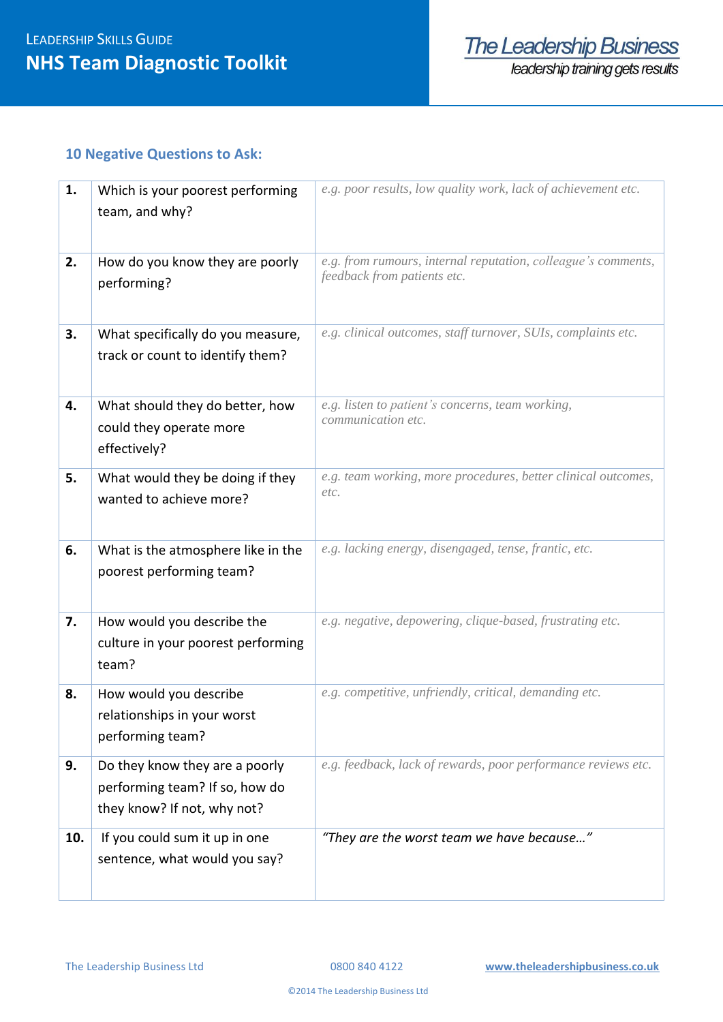## **10 Negative Questions to Ask:**

| 1.  | Which is your poorest performing<br>team, and why?                                              | e.g. poor results, low quality work, lack of achievement etc.                                |  |
|-----|-------------------------------------------------------------------------------------------------|----------------------------------------------------------------------------------------------|--|
| 2.  | How do you know they are poorly<br>performing?                                                  | e.g. from rumours, internal reputation, colleague's comments,<br>feedback from patients etc. |  |
| 3.  | What specifically do you measure,<br>track or count to identify them?                           | e.g. clinical outcomes, staff turnover, SUIs, complaints etc.                                |  |
| 4.  | What should they do better, how<br>could they operate more<br>effectively?                      | e.g. listen to patient's concerns, team working,<br>communication etc.                       |  |
| 5.  | What would they be doing if they<br>wanted to achieve more?                                     | e.g. team working, more procedures, better clinical outcomes,<br>etc.                        |  |
| 6.  | What is the atmosphere like in the<br>poorest performing team?                                  | e.g. lacking energy, disengaged, tense, frantic, etc.                                        |  |
| 7.  | How would you describe the<br>culture in your poorest performing<br>team?                       | e.g. negative, depowering, clique-based, frustrating etc.                                    |  |
| 8.  | How would you describe<br>relationships in your worst<br>performing team?                       | e.g. competitive, unfriendly, critical, demanding etc.                                       |  |
| 9.  | Do they know they are a poorly<br>performing team? If so, how do<br>they know? If not, why not? | e.g. feedback, lack of rewards, poor performance reviews etc.                                |  |
| 10. | If you could sum it up in one<br>sentence, what would you say?                                  | "They are the worst team we have because"                                                    |  |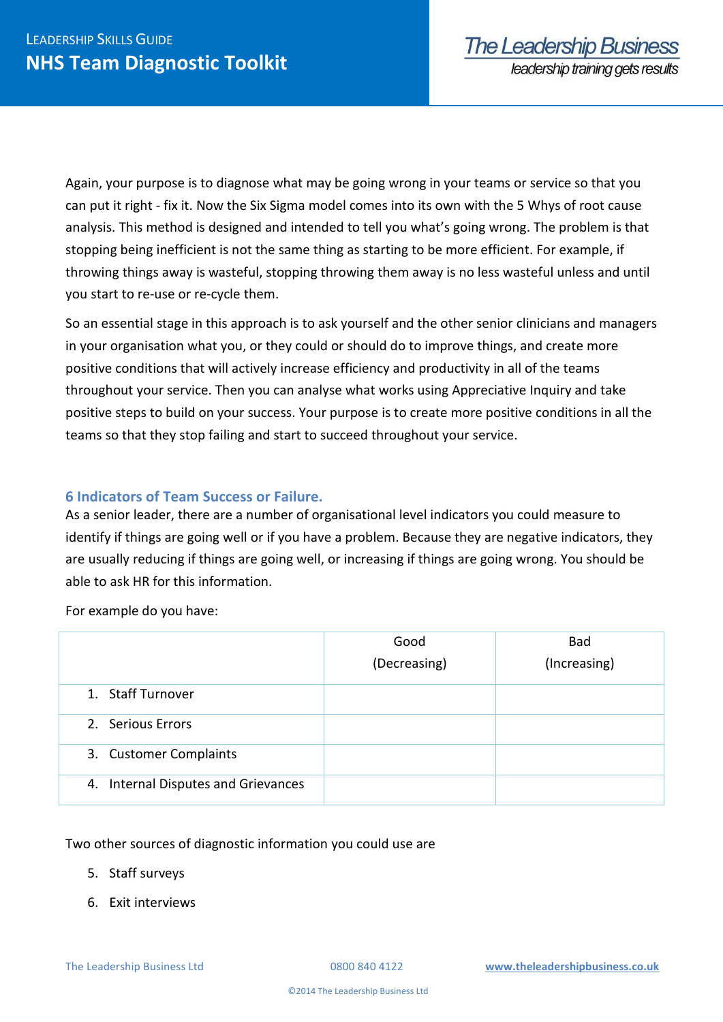Again, your purpose is to diagnose what may be going wrong in your teams or service so that you can put it right - fix it. Now the Six Sigma model comes into its own with the 5 Whys of root cause analysis. This method is designed and intended to tell you what's going wrong. The problem is that stopping being inefficient is not the same thing as starting to be more efficient. For example, if throwing things away is wasteful, stopping throwing them away is no less wasteful unless and until you start to re-use or re-cycle them.

So an essential stage in this approach is to ask yourself and the other senior clinicians and managers in your organisation what you, or they could or should do to improve things, and create more positive conditions that will actively increase efficiency and productivity in all of the teams throughout your service. Then you can analyse what works using Appreciative Inquiry and take positive steps to build on your success. Your purpose is to create more positive conditions in all the teams so that they stop failing and start to succeed throughout your service.

## **6 Indicators of Team Success or Failure.**

As a senior leader, there are a number of organisational level indicators you could measure to identify if things are going well or if you have a problem. Because they are negative indicators, they are usually reducing if things are going well, or increasing if things are going wrong. You should be able to ask HR for this information.

For example do you have:

|                                     | Good         | <b>Bad</b>   |
|-------------------------------------|--------------|--------------|
|                                     | (Decreasing) | (Increasing) |
| 1. Staff Turnover                   |              |              |
| 2. Serious Errors                   |              |              |
| 3. Customer Complaints              |              |              |
| 4. Internal Disputes and Grievances |              |              |

Two other sources of diagnostic information you could use are

- 5. Staff surveys
- 6. Exit interviews